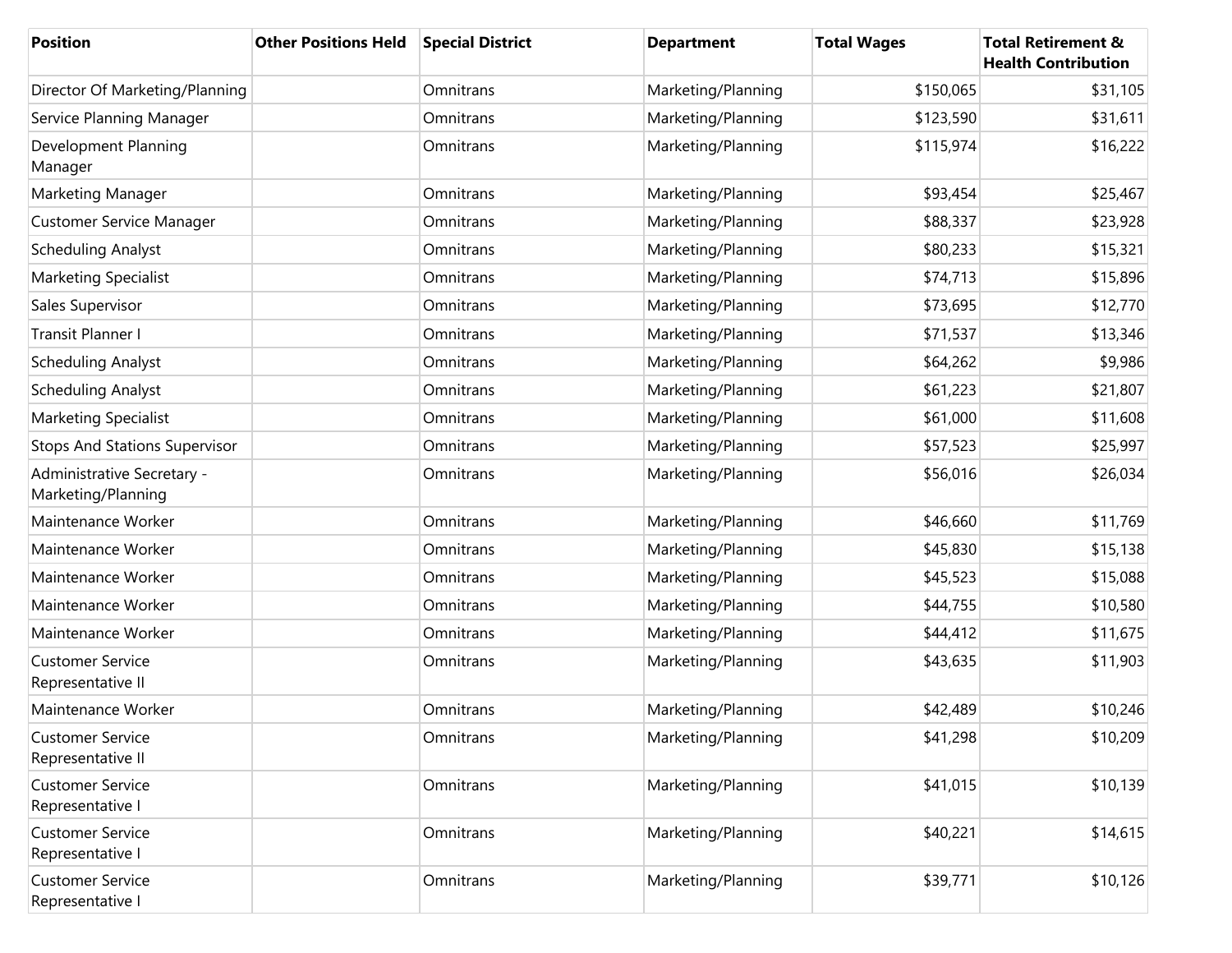| <b>Position</b>                                  | <b>Other Positions Held</b> | <b>Special District</b> | <b>Department</b>  | <b>Total Wages</b> | <b>Total Retirement &amp;</b><br><b>Health Contribution</b> |
|--------------------------------------------------|-----------------------------|-------------------------|--------------------|--------------------|-------------------------------------------------------------|
| Director Of Marketing/Planning                   |                             | Omnitrans               | Marketing/Planning | \$150,065          | \$31,105                                                    |
| Service Planning Manager                         |                             | Omnitrans               | Marketing/Planning | \$123,590          | \$31,611                                                    |
| Development Planning<br>Manager                  |                             | Omnitrans               | Marketing/Planning | \$115,974          | \$16,222                                                    |
| Marketing Manager                                |                             | Omnitrans               | Marketing/Planning | \$93,454           | \$25,467                                                    |
| <b>Customer Service Manager</b>                  |                             | Omnitrans               | Marketing/Planning | \$88,337           | \$23,928                                                    |
| <b>Scheduling Analyst</b>                        |                             | Omnitrans               | Marketing/Planning | \$80,233           | \$15,321                                                    |
| Marketing Specialist                             |                             | Omnitrans               | Marketing/Planning | \$74,713           | \$15,896                                                    |
| Sales Supervisor                                 |                             | Omnitrans               | Marketing/Planning | \$73,695           | \$12,770                                                    |
| <b>Transit Planner I</b>                         |                             | Omnitrans               | Marketing/Planning | \$71,537           | \$13,346                                                    |
| <b>Scheduling Analyst</b>                        |                             | Omnitrans               | Marketing/Planning | \$64,262           | \$9,986                                                     |
| <b>Scheduling Analyst</b>                        |                             | Omnitrans               | Marketing/Planning | \$61,223           | \$21,807                                                    |
| Marketing Specialist                             |                             | Omnitrans               | Marketing/Planning | \$61,000           | \$11,608                                                    |
| <b>Stops And Stations Supervisor</b>             |                             | Omnitrans               | Marketing/Planning | \$57,523           | \$25,997                                                    |
| Administrative Secretary -<br>Marketing/Planning |                             | Omnitrans               | Marketing/Planning | \$56,016           | \$26,034                                                    |
| Maintenance Worker                               |                             | Omnitrans               | Marketing/Planning | \$46,660           | \$11,769                                                    |
| Maintenance Worker                               |                             | Omnitrans               | Marketing/Planning | \$45,830           | \$15,138                                                    |
| Maintenance Worker                               |                             | Omnitrans               | Marketing/Planning | \$45,523           | \$15,088                                                    |
| Maintenance Worker                               |                             | Omnitrans               | Marketing/Planning | \$44,755           | \$10,580                                                    |
| Maintenance Worker                               |                             | Omnitrans               | Marketing/Planning | \$44,412           | \$11,675                                                    |
| <b>Customer Service</b><br>Representative II     |                             | Omnitrans               | Marketing/Planning | \$43,635           | \$11,903                                                    |
| Maintenance Worker                               |                             | Omnitrans               | Marketing/Planning | \$42,489           | \$10,246                                                    |
| <b>Customer Service</b><br>Representative II     |                             | Omnitrans               | Marketing/Planning | \$41,298           | \$10,209                                                    |
| <b>Customer Service</b><br>Representative I      |                             | Omnitrans               | Marketing/Planning | \$41,015           | \$10,139                                                    |
| <b>Customer Service</b><br>Representative I      |                             | Omnitrans               | Marketing/Planning | \$40,221           | \$14,615                                                    |
| <b>Customer Service</b><br>Representative I      |                             | Omnitrans               | Marketing/Planning | \$39,771           | \$10,126                                                    |